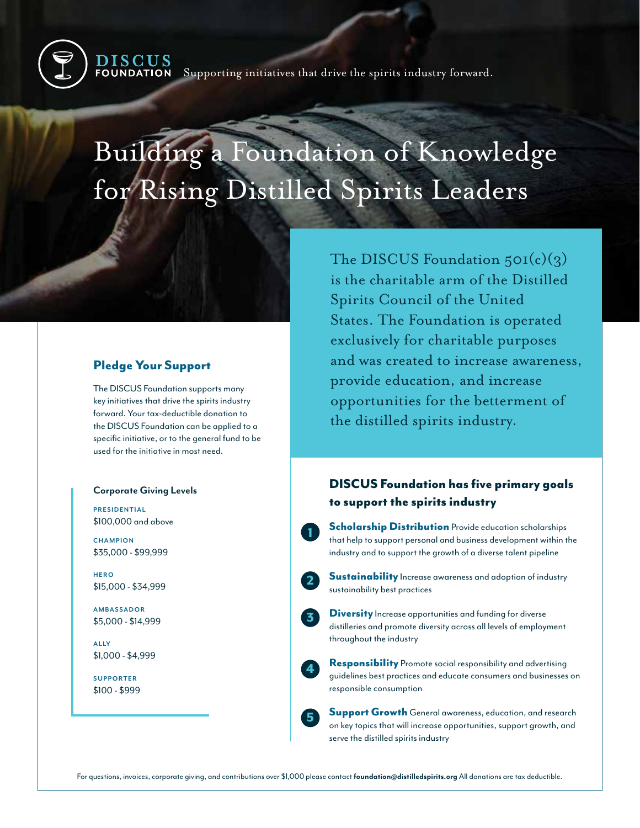

# Building a Foundation of Knowledge for Rising Distilled Spirits Leaders

### Pledge Your Support

The DISCUS Foundation supports many key initiatives that drive the spirits industry forward. Your tax-deductible donation to the DISCUS Foundation can be applied to a specific initiative, or to the general fund to be used for the initiative in most need.

#### **Corporate Giving Levels**

**PRESIDENTIAL** \$100,000 and above

**CHAMPION** \$35,000 - \$99,999

**HERO** \$15,000 - \$34,999

**AMBASSADOR** \$5,000 - \$14,999

**A L LY** \$1,000 - \$4,999

**SUPPORTER** \$100 - \$999 The DISCUS Foundation  $50I(c)(3)$ is the charitable arm of the Distilled Spirits Council of the United States. The Foundation is operated exclusively for charitable purposes and was created to increase awareness, provide education, and increase opportunities for the betterment of the distilled spirits industry.

# DISCUS Foundation has five primary goals to support the spirits industry

**Scholarship Distribution** Provide education scholarships that help to support personal and business development within the industry and to support the growth of a diverse talent pipeline

**Sustainability** Increase awareness and adoption of industry sustainability best practices

**Diversity** Increase opportunities and funding for diverse distilleries and promote diversity across all levels of employment throughout the industry

Responsibility Promote social responsibility and advertising guidelines best practices and educate consumers and businesses on responsible consumption

Support Growth General awareness, education, and research on key topics that will increase opportunities, support growth, and serve the distilled spirits industry

1

2

3

4

5